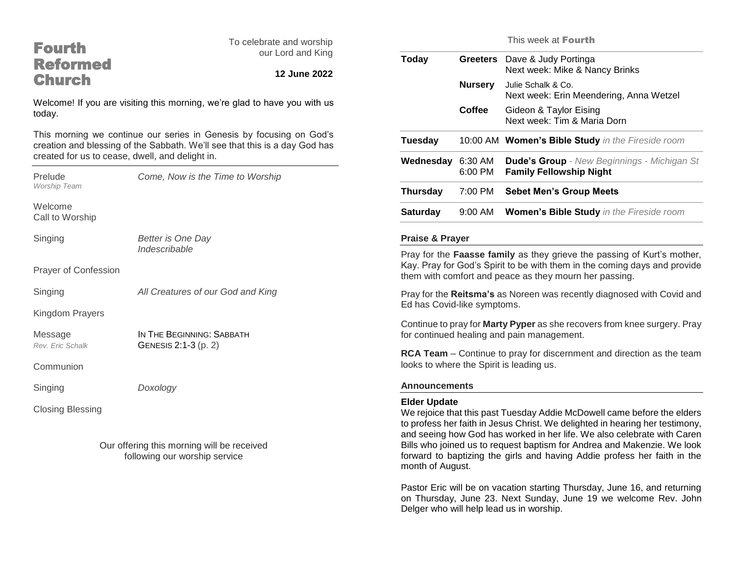# Fourth Reformed **Church**

To celebrate and worship our Lord and King

# **12 June 2022**

Welcome! If you are visiting this morning, we're glad to have you with us today.

This morning we continue our series in Genesis by focusing on God's creation and blessing of the Sabbath. We'll see that this is a day God has created for us to cease, dwell, and delight in.

| Prelude<br><b>Worship Team</b> | Come, Now is the Time to Worship                  |
|--------------------------------|---------------------------------------------------|
| Welcome<br>Call to Worship     |                                                   |
| Singing                        | Better is One Day<br>Indescribable                |
| <b>Prayer of Confession</b>    |                                                   |
| Singing                        | All Creatures of our God and King                 |
| Kingdom Prayers                |                                                   |
| Message<br>Rev. Fric Schalk    | IN THE BEGINNING: SABBATH<br>GENESIS 2:1-3 (p. 2) |
| Communion                      |                                                   |
| Singing                        | Doxology                                          |
| <b>Closing Blessing</b>        |                                                   |

Our offering this morning will be received following our worship service

This week at Fourth

| Today           | <b>Greeters</b>      | Dave & Judy Portinga<br>Next week: Mike & Nancy Brinks                               |
|-----------------|----------------------|--------------------------------------------------------------------------------------|
|                 | <b>Nursery</b>       | Julie Schalk & Co.<br>Next week: Erin Meendering, Anna Wetzel                        |
|                 | Coffee               | Gideon & Taylor Eising<br>Next week: Tim & Maria Dorn                                |
| Tuesday         |                      | 10:00 AM Women's Bible Study in the Fireside room                                    |
| Wednesday       | 6:30 AM<br>$6:00$ PM | <b>Dude's Group</b> - New Beginnings - Michigan St<br><b>Family Fellowship Night</b> |
| Thursday        | 7:00 PM              | <b>Sebet Men's Group Meets</b>                                                       |
| <b>Saturday</b> | $9:00$ AM            | <b>Women's Bible Study</b> in the Fireside room                                      |
|                 |                      |                                                                                      |

#### **Praise & Prayer**

Pray for the **Faasse family** as they grieve the passing of Kurt's mother, Kay. Pray for God's Spirit to be with them in the coming days and provide them with comfort and peace as they mourn her passing.

Pray for the **Reitsma's** as Noreen was recently diagnosed with Covid and Ed has Covid-like symptoms.

Continue to pray for **Marty Pyper** as she recovers from knee surgery. Pray for continued healing and pain management.

**RCA Team** – Continue to pray for discernment and direction as the team looks to where the Spirit is leading us.

#### **Announcements**

#### **Elder Update**

We rejoice that this past Tuesday Addie McDowell came before the elders to profess her faith in Jesus Christ. We delighted in hearing her testimony, and seeing how God has worked in her life. We also celebrate with Caren Bills who joined us to request baptism for Andrea and Makenzie. We look forward to baptizing the girls and having Addie profess her faith in the month of August.

Pastor Eric will be on vacation starting Thursday, June 16, and returning on Thursday, June 23. Next Sunday, June 19 we welcome Rev. John Delger who will help lead us in worship.